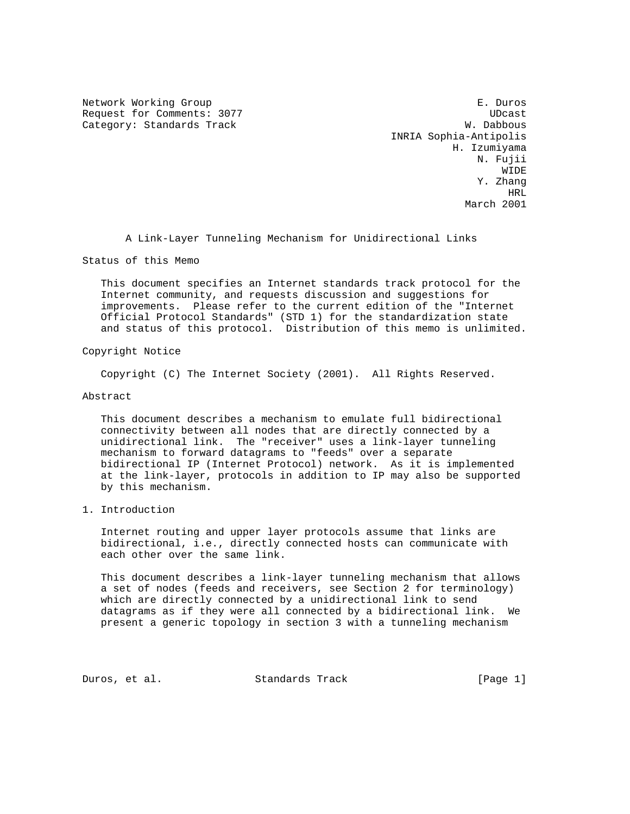Network Working Group **E. Duros** E. Duros Request for Comments: 3077 and the comments of the comments of the control of the control of the control of the control of the control of the control of the control of the control of the control of the control of the contr Category: Standards Track W. Dabbous

 INRIA Sophia-Antipolis H. Izumiyama N. Fujii WIDE WIDE WAS ARRESTED FOR A 45 YEAR OLD FOUND FOR A 45 YEAR OLD FOUND FOR A 45 YEAR OLD FOUND FOR A 45 YEAR OLD FOUND FOR A 45 YEAR OLD FOUND FOR A 45 YEAR OLD FOUND FOUND FOR A 45 YEAR OLD FOUND FOUND FOUND FOUND FOR A 4 Y. Zhang have a state of the state of the state of the state of the state of the state of the state of the state of the March 2001

A Link-Layer Tunneling Mechanism for Unidirectional Links

Status of this Memo

 This document specifies an Internet standards track protocol for the Internet community, and requests discussion and suggestions for improvements. Please refer to the current edition of the "Internet Official Protocol Standards" (STD 1) for the standardization state and status of this protocol. Distribution of this memo is unlimited.

Copyright Notice

Copyright (C) The Internet Society (2001). All Rights Reserved.

Abstract

 This document describes a mechanism to emulate full bidirectional connectivity between all nodes that are directly connected by a unidirectional link. The "receiver" uses a link-layer tunneling mechanism to forward datagrams to "feeds" over a separate bidirectional IP (Internet Protocol) network. As it is implemented at the link-layer, protocols in addition to IP may also be supported by this mechanism.

1. Introduction

 Internet routing and upper layer protocols assume that links are bidirectional, i.e., directly connected hosts can communicate with each other over the same link.

 This document describes a link-layer tunneling mechanism that allows a set of nodes (feeds and receivers, see Section 2 for terminology) which are directly connected by a unidirectional link to send datagrams as if they were all connected by a bidirectional link. We present a generic topology in section 3 with a tunneling mechanism

Duros, et al. Standards Track [Page 1]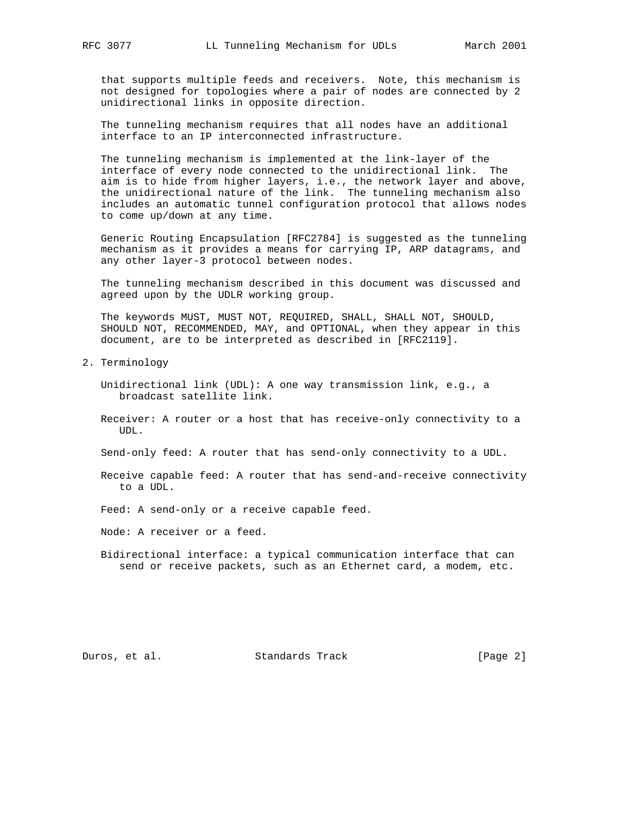that supports multiple feeds and receivers. Note, this mechanism is not designed for topologies where a pair of nodes are connected by 2 unidirectional links in opposite direction.

 The tunneling mechanism requires that all nodes have an additional interface to an IP interconnected infrastructure.

 The tunneling mechanism is implemented at the link-layer of the interface of every node connected to the unidirectional link. The aim is to hide from higher layers, i.e., the network layer and above, the unidirectional nature of the link. The tunneling mechanism also includes an automatic tunnel configuration protocol that allows nodes to come up/down at any time.

 Generic Routing Encapsulation [RFC2784] is suggested as the tunneling mechanism as it provides a means for carrying IP, ARP datagrams, and any other layer-3 protocol between nodes.

 The tunneling mechanism described in this document was discussed and agreed upon by the UDLR working group.

 The keywords MUST, MUST NOT, REQUIRED, SHALL, SHALL NOT, SHOULD, SHOULD NOT, RECOMMENDED, MAY, and OPTIONAL, when they appear in this document, are to be interpreted as described in [RFC2119].

- 2. Terminology
	- Unidirectional link (UDL): A one way transmission link, e.g., a broadcast satellite link.
	- Receiver: A router or a host that has receive-only connectivity to a UDL.

Send-only feed: A router that has send-only connectivity to a UDL.

- Receive capable feed: A router that has send-and-receive connectivity to a UDL.
- Feed: A send-only or a receive capable feed.
- Node: A receiver or a feed.
- Bidirectional interface: a typical communication interface that can send or receive packets, such as an Ethernet card, a modem, etc.

Duros, et al. Standards Track [Page 2]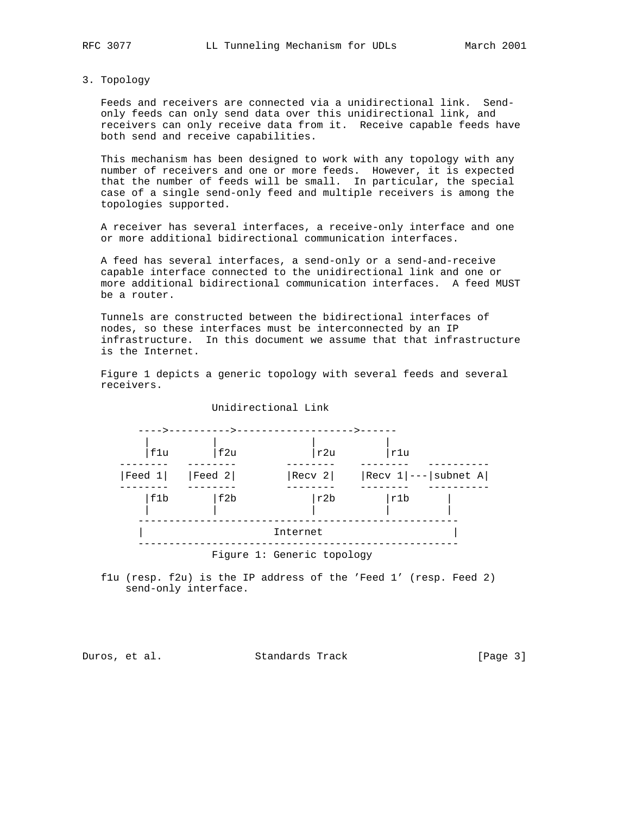3. Topology

 Feeds and receivers are connected via a unidirectional link. Send only feeds can only send data over this unidirectional link, and receivers can only receive data from it. Receive capable feeds have both send and receive capabilities.

 This mechanism has been designed to work with any topology with any number of receivers and one or more feeds. However, it is expected that the number of feeds will be small. In particular, the special case of a single send-only feed and multiple receivers is among the topologies supported.

 A receiver has several interfaces, a receive-only interface and one or more additional bidirectional communication interfaces.

 A feed has several interfaces, a send-only or a send-and-receive capable interface connected to the unidirectional link and one or more additional bidirectional communication interfaces. A feed MUST be a router.

 Tunnels are constructed between the bidirectional interfaces of nodes, so these interfaces must be interconnected by an IP infrastructure. In this document we assume that that infrastructure is the Internet.

 Figure 1 depicts a generic topology with several feeds and several receivers.



 f1u (resp. f2u) is the IP address of the 'Feed 1' (resp. Feed 2) send-only interface.

Duros, et al. Standards Track [Page 3]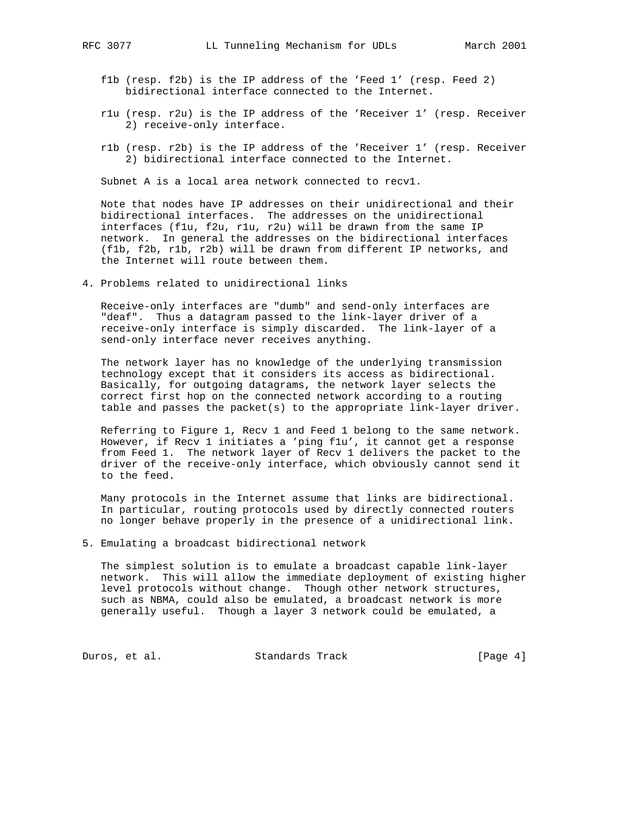- f1b (resp. f2b) is the IP address of the 'Feed 1' (resp. Feed 2) bidirectional interface connected to the Internet.
- r1u (resp. r2u) is the IP address of the 'Receiver 1' (resp. Receiver 2) receive-only interface.
- r1b (resp. r2b) is the IP address of the 'Receiver 1' (resp. Receiver 2) bidirectional interface connected to the Internet.

Subnet A is a local area network connected to recv1.

 Note that nodes have IP addresses on their unidirectional and their bidirectional interfaces. The addresses on the unidirectional interfaces (f1u, f2u, r1u, r2u) will be drawn from the same IP network. In general the addresses on the bidirectional interfaces (f1b, f2b, r1b, r2b) will be drawn from different IP networks, and the Internet will route between them.

4. Problems related to unidirectional links

 Receive-only interfaces are "dumb" and send-only interfaces are "deaf". Thus a datagram passed to the link-layer driver of a receive-only interface is simply discarded. The link-layer of a send-only interface never receives anything.

 The network layer has no knowledge of the underlying transmission technology except that it considers its access as bidirectional. Basically, for outgoing datagrams, the network layer selects the correct first hop on the connected network according to a routing table and passes the packet(s) to the appropriate link-layer driver.

 Referring to Figure 1, Recv 1 and Feed 1 belong to the same network. However, if Recv 1 initiates a 'ping f1u', it cannot get a response from Feed 1. The network layer of Recv 1 delivers the packet to the driver of the receive-only interface, which obviously cannot send it to the feed.

 Many protocols in the Internet assume that links are bidirectional. In particular, routing protocols used by directly connected routers no longer behave properly in the presence of a unidirectional link.

5. Emulating a broadcast bidirectional network

 The simplest solution is to emulate a broadcast capable link-layer network. This will allow the immediate deployment of existing higher level protocols without change. Though other network structures, such as NBMA, could also be emulated, a broadcast network is more generally useful. Though a layer 3 network could be emulated, a

Duros, et al. Standards Track [Page 4]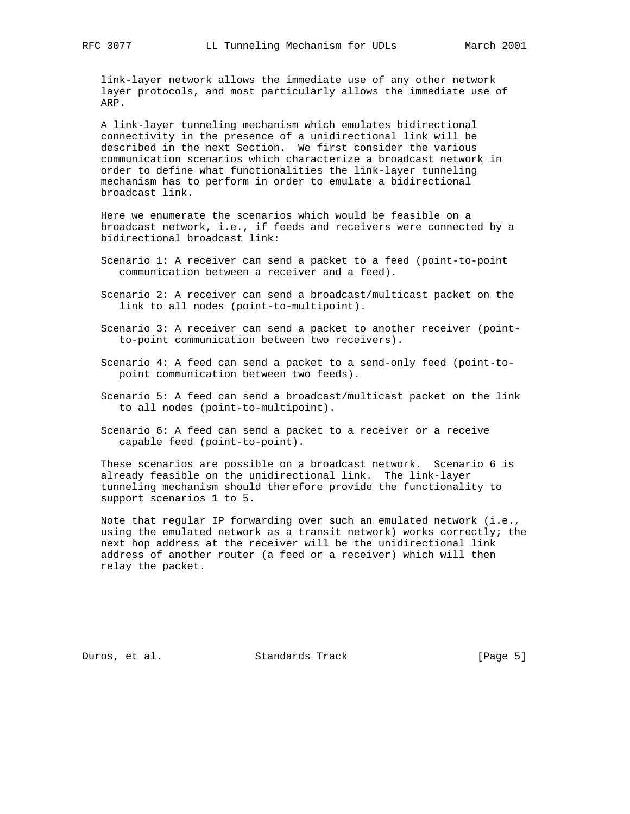link-layer network allows the immediate use of any other network layer protocols, and most particularly allows the immediate use of ARP.

 A link-layer tunneling mechanism which emulates bidirectional connectivity in the presence of a unidirectional link will be described in the next Section. We first consider the various communication scenarios which characterize a broadcast network in order to define what functionalities the link-layer tunneling mechanism has to perform in order to emulate a bidirectional broadcast link.

 Here we enumerate the scenarios which would be feasible on a broadcast network, i.e., if feeds and receivers were connected by a bidirectional broadcast link:

- Scenario 1: A receiver can send a packet to a feed (point-to-point communication between a receiver and a feed).
- Scenario 2: A receiver can send a broadcast/multicast packet on the link to all nodes (point-to-multipoint).
- Scenario 3: A receiver can send a packet to another receiver (point to-point communication between two receivers).
- Scenario 4: A feed can send a packet to a send-only feed (point-to point communication between two feeds).
- Scenario 5: A feed can send a broadcast/multicast packet on the link to all nodes (point-to-multipoint).
- Scenario 6: A feed can send a packet to a receiver or a receive capable feed (point-to-point).

 These scenarios are possible on a broadcast network. Scenario 6 is already feasible on the unidirectional link. The link-layer tunneling mechanism should therefore provide the functionality to support scenarios 1 to 5.

 Note that regular IP forwarding over such an emulated network (i.e., using the emulated network as a transit network) works correctly; the next hop address at the receiver will be the unidirectional link address of another router (a feed or a receiver) which will then relay the packet.

Duros, et al. Standards Track [Page 5]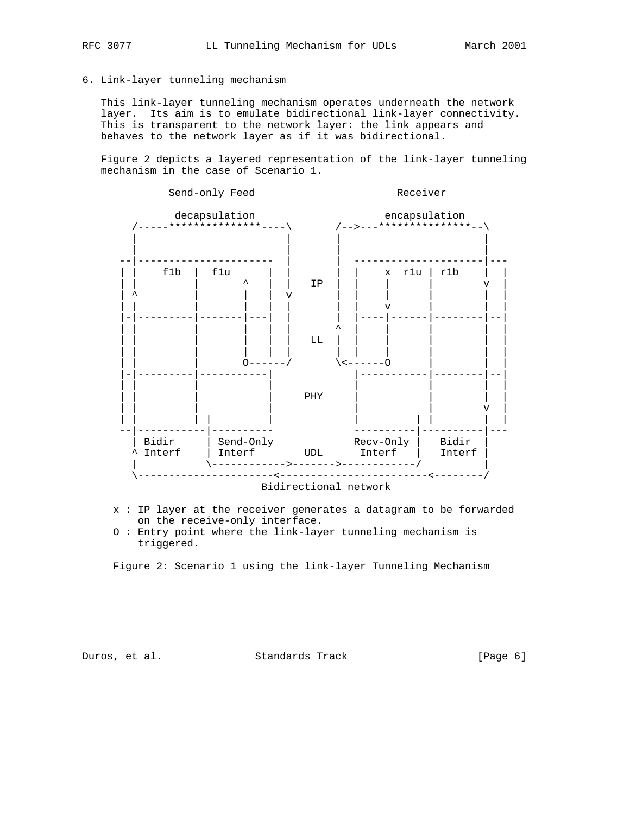6. Link-layer tunneling mechanism

 This link-layer tunneling mechanism operates underneath the network layer. Its aim is to emulate bidirectional link-layer connectivity. This is transparent to the network layer: the link appears and behaves to the network layer as if it was bidirectional.

 Figure 2 depicts a layered representation of the link-layer tunneling mechanism in the case of Scenario 1.



- x : IP layer at the receiver generates a datagram to be forwarded on the receive-only interface.
- O : Entry point where the link-layer tunneling mechanism is triggered.

Figure 2: Scenario 1 using the link-layer Tunneling Mechanism

Duros, et al. Standards Track [Page 6]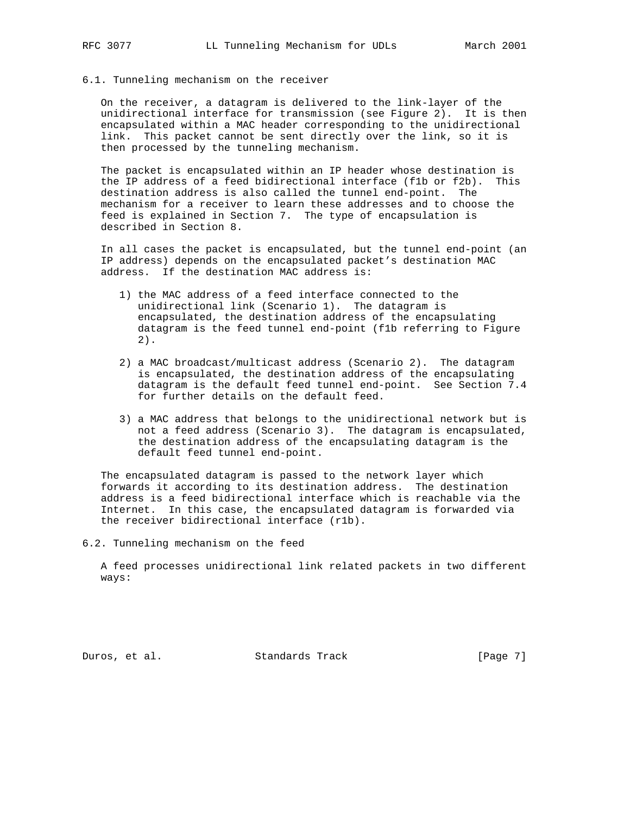### 6.1. Tunneling mechanism on the receiver

 On the receiver, a datagram is delivered to the link-layer of the unidirectional interface for transmission (see Figure 2). It is then encapsulated within a MAC header corresponding to the unidirectional link. This packet cannot be sent directly over the link, so it is then processed by the tunneling mechanism.

 The packet is encapsulated within an IP header whose destination is the IP address of a feed bidirectional interface (f1b or f2b). This destination address is also called the tunnel end-point. The mechanism for a receiver to learn these addresses and to choose the feed is explained in Section 7. The type of encapsulation is described in Section 8.

 In all cases the packet is encapsulated, but the tunnel end-point (an IP address) depends on the encapsulated packet's destination MAC address. If the destination MAC address is:

- 1) the MAC address of a feed interface connected to the unidirectional link (Scenario 1). The datagram is encapsulated, the destination address of the encapsulating datagram is the feed tunnel end-point (f1b referring to Figure 2).
- 2) a MAC broadcast/multicast address (Scenario 2). The datagram is encapsulated, the destination address of the encapsulating datagram is the default feed tunnel end-point. See Section 7.4 for further details on the default feed.
- 3) a MAC address that belongs to the unidirectional network but is not a feed address (Scenario 3). The datagram is encapsulated, the destination address of the encapsulating datagram is the default feed tunnel end-point.

 The encapsulated datagram is passed to the network layer which forwards it according to its destination address. The destination address is a feed bidirectional interface which is reachable via the Internet. In this case, the encapsulated datagram is forwarded via the receiver bidirectional interface (r1b).

6.2. Tunneling mechanism on the feed

 A feed processes unidirectional link related packets in two different ways:

Duros, et al. Standards Track [Page 7]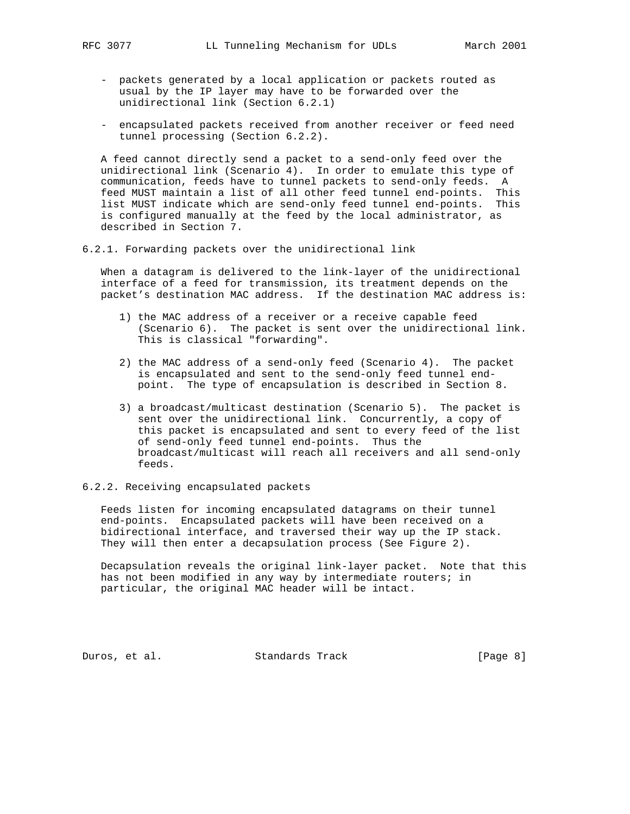- packets generated by a local application or packets routed as usual by the IP layer may have to be forwarded over the unidirectional link (Section 6.2.1)
- encapsulated packets received from another receiver or feed need tunnel processing (Section 6.2.2).

 A feed cannot directly send a packet to a send-only feed over the unidirectional link (Scenario 4). In order to emulate this type of communication, feeds have to tunnel packets to send-only feeds. A feed MUST maintain a list of all other feed tunnel end-points. This list MUST indicate which are send-only feed tunnel end-points. This is configured manually at the feed by the local administrator, as described in Section 7.

6.2.1. Forwarding packets over the unidirectional link

 When a datagram is delivered to the link-layer of the unidirectional interface of a feed for transmission, its treatment depends on the packet's destination MAC address. If the destination MAC address is:

- 1) the MAC address of a receiver or a receive capable feed (Scenario 6). The packet is sent over the unidirectional link. This is classical "forwarding".
- 2) the MAC address of a send-only feed (Scenario 4). The packet is encapsulated and sent to the send-only feed tunnel end point. The type of encapsulation is described in Section 8.
- 3) a broadcast/multicast destination (Scenario 5). The packet is sent over the unidirectional link. Concurrently, a copy of this packet is encapsulated and sent to every feed of the list of send-only feed tunnel end-points. Thus the broadcast/multicast will reach all receivers and all send-only feeds.

# 6.2.2. Receiving encapsulated packets

 Feeds listen for incoming encapsulated datagrams on their tunnel end-points. Encapsulated packets will have been received on a bidirectional interface, and traversed their way up the IP stack. They will then enter a decapsulation process (See Figure 2).

 Decapsulation reveals the original link-layer packet. Note that this has not been modified in any way by intermediate routers; in particular, the original MAC header will be intact.

Duros, et al. Standards Track [Page 8]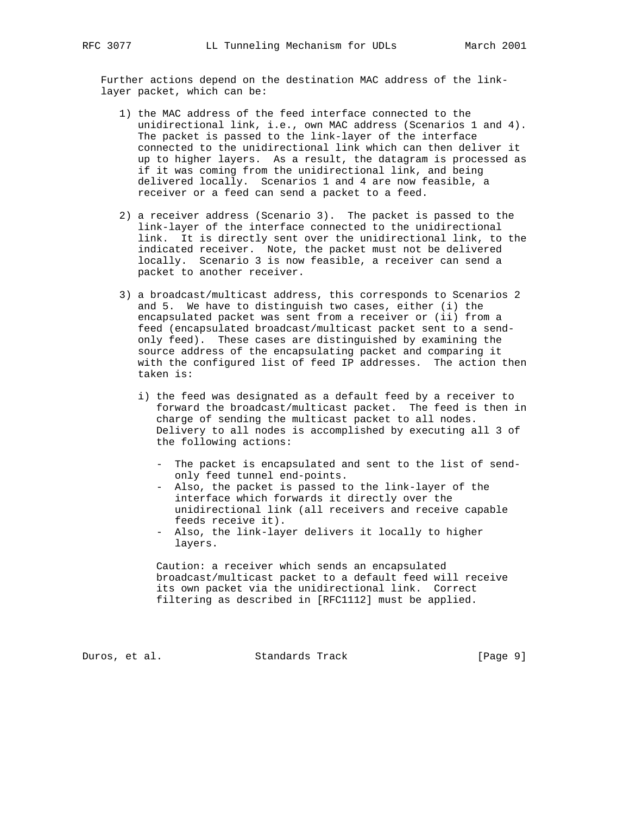Further actions depend on the destination MAC address of the link layer packet, which can be:

- 1) the MAC address of the feed interface connected to the unidirectional link, i.e., own MAC address (Scenarios 1 and 4). The packet is passed to the link-layer of the interface connected to the unidirectional link which can then deliver it up to higher layers. As a result, the datagram is processed as if it was coming from the unidirectional link, and being delivered locally. Scenarios 1 and 4 are now feasible, a receiver or a feed can send a packet to a feed.
- 2) a receiver address (Scenario 3). The packet is passed to the link-layer of the interface connected to the unidirectional link. It is directly sent over the unidirectional link, to the indicated receiver. Note, the packet must not be delivered locally. Scenario 3 is now feasible, a receiver can send a packet to another receiver.
- 3) a broadcast/multicast address, this corresponds to Scenarios 2 and 5. We have to distinguish two cases, either (i) the encapsulated packet was sent from a receiver or (ii) from a feed (encapsulated broadcast/multicast packet sent to a send only feed). These cases are distinguished by examining the source address of the encapsulating packet and comparing it with the configured list of feed IP addresses. The action then taken is:
	- i) the feed was designated as a default feed by a receiver to forward the broadcast/multicast packet. The feed is then in charge of sending the multicast packet to all nodes. Delivery to all nodes is accomplished by executing all 3 of the following actions:
		- The packet is encapsulated and sent to the list of send only feed tunnel end-points.
		- Also, the packet is passed to the link-layer of the interface which forwards it directly over the unidirectional link (all receivers and receive capable feeds receive it).
		- Also, the link-layer delivers it locally to higher layers.

 Caution: a receiver which sends an encapsulated broadcast/multicast packet to a default feed will receive its own packet via the unidirectional link. Correct filtering as described in [RFC1112] must be applied.

Duros, et al. Standards Track [Page 9]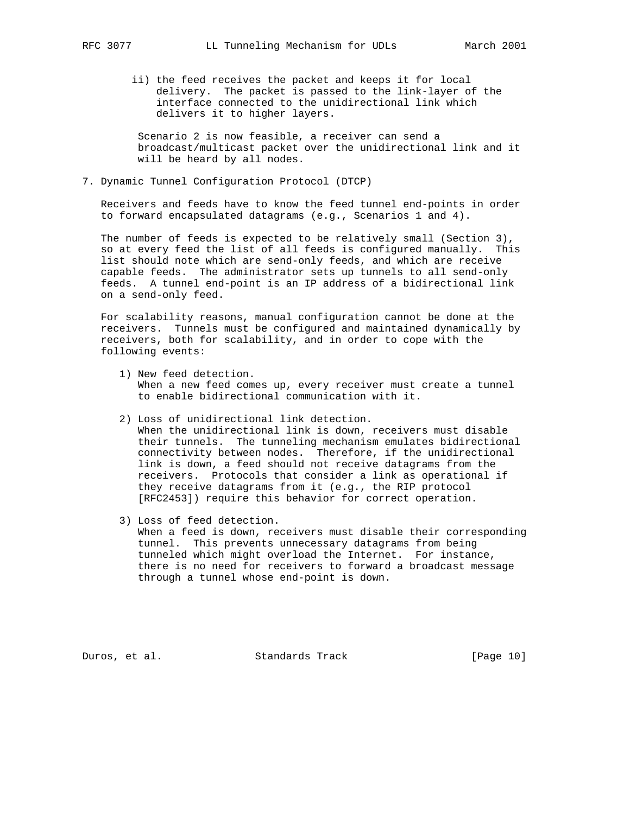ii) the feed receives the packet and keeps it for local delivery. The packet is passed to the link-layer of the interface connected to the unidirectional link which delivers it to higher layers.

 Scenario 2 is now feasible, a receiver can send a broadcast/multicast packet over the unidirectional link and it will be heard by all nodes.

7. Dynamic Tunnel Configuration Protocol (DTCP)

 Receivers and feeds have to know the feed tunnel end-points in order to forward encapsulated datagrams (e.g., Scenarios 1 and 4).

 The number of feeds is expected to be relatively small (Section 3), so at every feed the list of all feeds is configured manually. This list should note which are send-only feeds, and which are receive capable feeds. The administrator sets up tunnels to all send-only feeds. A tunnel end-point is an IP address of a bidirectional link on a send-only feed.

 For scalability reasons, manual configuration cannot be done at the receivers. Tunnels must be configured and maintained dynamically by receivers, both for scalability, and in order to cope with the following events:

- 1) New feed detection. When a new feed comes up, every receiver must create a tunnel to enable bidirectional communication with it.
- 2) Loss of unidirectional link detection. When the unidirectional link is down, receivers must disable their tunnels. The tunneling mechanism emulates bidirectional connectivity between nodes. Therefore, if the unidirectional link is down, a feed should not receive datagrams from the receivers. Protocols that consider a link as operational if they receive datagrams from it (e.g., the RIP protocol

[RFC2453]) require this behavior for correct operation.

 3) Loss of feed detection. When a feed is down, receivers must disable their corresponding tunnel. This prevents unnecessary datagrams from being tunneled which might overload the Internet. For instance, there is no need for receivers to forward a broadcast message through a tunnel whose end-point is down.

Duros, et al. Standards Track [Page 10]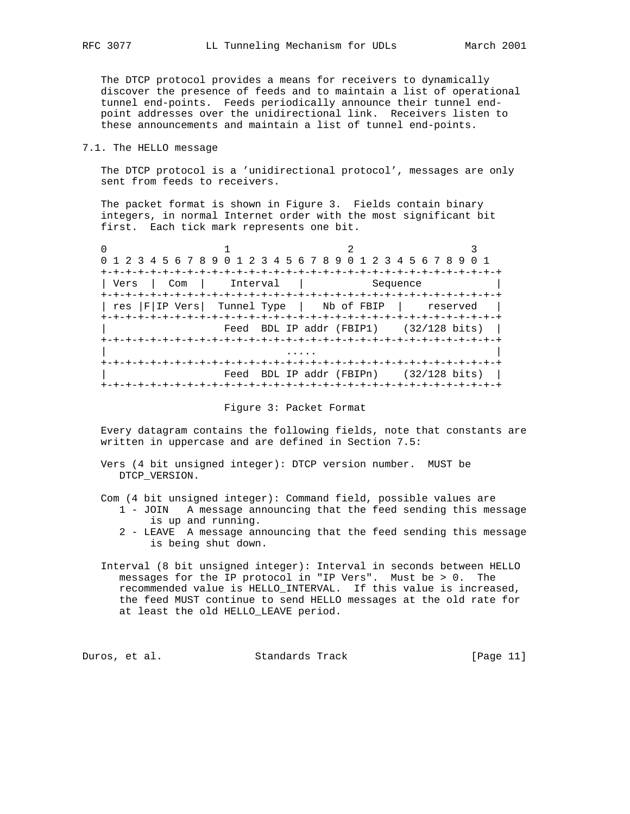The DTCP protocol provides a means for receivers to dynamically discover the presence of feeds and to maintain a list of operational tunnel end-points. Feeds periodically announce their tunnel end point addresses over the unidirectional link. Receivers listen to these announcements and maintain a list of tunnel end-points.

## 7.1. The HELLO message

 The DTCP protocol is a 'unidirectional protocol', messages are only sent from feeds to receivers.

 The packet format is shown in Figure 3. Fields contain binary integers, in normal Internet order with the most significant bit first. Each tick mark represents one bit.

0  $1$  2 3 0 1 2 3 4 5 6 7 8 9 0 1 2 3 4 5 6 7 8 9 0 1 2 3 4 5 6 7 8 9 0 1 +-+-+-+-+-+-+-+-+-+-+-+-+-+-+-+-+-+-+-+-+-+-+-+-+-+-+-+-+-+-+-+-+ | Vers | Com | Interval | Sequence +-+-+-+-+-+-+-+-+-+-+-+-+-+-+-+-+-+-+-+-+-+-+-+-+-+-+-+-+-+-+-+-+ | res |F|IP Vers| Tunnel Type | Nb of FBIP | reserved | +-+-+-+-+-+-+-+-+-+-+-+-+-+-+-+-+-+-+-+-+-+-+-+-+-+-+-+-+-+-+-+-+ Feed BDL IP addr (FBIP1)  $(32/128 \text{ bits})$  +-+-+-+-+-+-+-+-+-+-+-+-+-+-+-+-+-+-+-+-+-+-+-+-+-+-+-+-+-+-+-+-+ | .... | .... | .... | .... | .... | .... | .... | .... | .... | .... | .... | .... | .... | .... | .... | ... +-+-+-+-+-+-+-+-+-+-+-+-+-+-+-+-+-+-+-+-+-+-+-+-+-+-+-+-+-+-+-+-+ Feed BDL IP addr (FBIPn) (32/128 bits) | +-+-+-+-+-+-+-+-+-+-+-+-+-+-+-+-+-+-+-+-+-+-+-+-+-+-+-+-+-+-+-+-+

### Figure 3: Packet Format

 Every datagram contains the following fields, note that constants are written in uppercase and are defined in Section 7.5:

- Vers (4 bit unsigned integer): DTCP version number. MUST be DTCP\_VERSION.
- Com (4 bit unsigned integer): Command field, possible values are
	- 1 JOIN A message announcing that the feed sending this message is up and running.
	- 2 LEAVE A message announcing that the feed sending this message is being shut down.
- Interval (8 bit unsigned integer): Interval in seconds between HELLO messages for the IP protocol in "IP Vers". Must be > 0. The recommended value is HELLO\_INTERVAL. If this value is increased, the feed MUST continue to send HELLO messages at the old rate for at least the old HELLO\_LEAVE period.

Duros, et al. Standards Track [Page 11]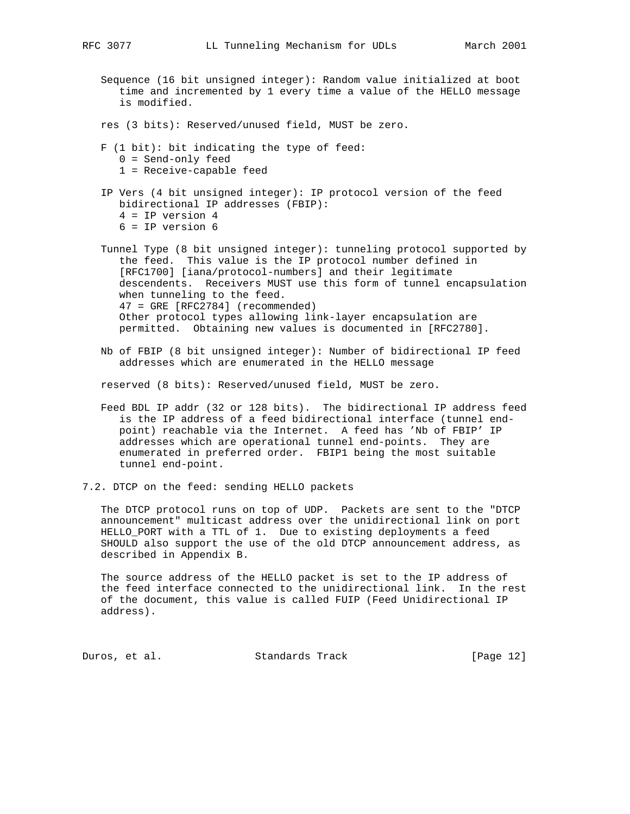- Sequence (16 bit unsigned integer): Random value initialized at boot time and incremented by 1 every time a value of the HELLO message is modified.
- res (3 bits): Reserved/unused field, MUST be zero.
- F (1 bit): bit indicating the type of feed:
	- 0 = Send-only feed
	- 1 = Receive-capable feed
- IP Vers (4 bit unsigned integer): IP protocol version of the feed bidirectional IP addresses (FBIP): 4 = IP version 4 6 = IP version 6

 Tunnel Type (8 bit unsigned integer): tunneling protocol supported by the feed. This value is the IP protocol number defined in [RFC1700] [iana/protocol-numbers] and their legitimate descendents. Receivers MUST use this form of tunnel encapsulation when tunneling to the feed. 47 = GRE [RFC2784] (recommended) Other protocol types allowing link-layer encapsulation are permitted. Obtaining new values is documented in [RFC2780].

 Nb of FBIP (8 bit unsigned integer): Number of bidirectional IP feed addresses which are enumerated in the HELLO message

reserved (8 bits): Reserved/unused field, MUST be zero.

- Feed BDL IP addr (32 or 128 bits). The bidirectional IP address feed is the IP address of a feed bidirectional interface (tunnel end point) reachable via the Internet. A feed has 'Nb of FBIP' IP addresses which are operational tunnel end-points. They are enumerated in preferred order. FBIP1 being the most suitable tunnel end-point.
- 7.2. DTCP on the feed: sending HELLO packets

 The DTCP protocol runs on top of UDP. Packets are sent to the "DTCP announcement" multicast address over the unidirectional link on port HELLO\_PORT with a TTL of 1. Due to existing deployments a feed SHOULD also support the use of the old DTCP announcement address, as described in Appendix B.

 The source address of the HELLO packet is set to the IP address of the feed interface connected to the unidirectional link. In the rest of the document, this value is called FUIP (Feed Unidirectional IP address).

Duros, et al. Standards Track [Page 12]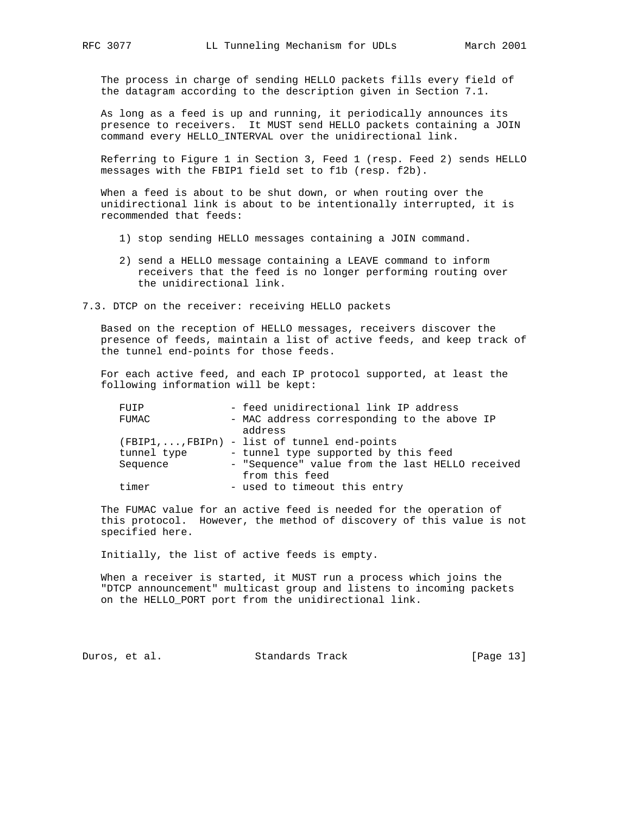The process in charge of sending HELLO packets fills every field of the datagram according to the description given in Section 7.1.

 As long as a feed is up and running, it periodically announces its presence to receivers. It MUST send HELLO packets containing a JOIN command every HELLO\_INTERVAL over the unidirectional link.

 Referring to Figure 1 in Section 3, Feed 1 (resp. Feed 2) sends HELLO messages with the FBIP1 field set to f1b (resp. f2b).

 When a feed is about to be shut down, or when routing over the unidirectional link is about to be intentionally interrupted, it is recommended that feeds:

- 1) stop sending HELLO messages containing a JOIN command.
- 2) send a HELLO message containing a LEAVE command to inform receivers that the feed is no longer performing routing over the unidirectional link.
- 7.3. DTCP on the receiver: receiving HELLO packets

 Based on the reception of HELLO messages, receivers discover the presence of feeds, maintain a list of active feeds, and keep track of the tunnel end-points for those feeds.

 For each active feed, and each IP protocol supported, at least the following information will be kept:

| FUIP     |             |         | - feed unidirectional link IP address           |
|----------|-------------|---------|-------------------------------------------------|
| FUMAC    |             |         | - MAC address corresponding to the above IP     |
|          |             | address |                                                 |
|          |             |         | (FBIP1,, FBIPn) - list of tunnel end-points     |
|          | tunnel type |         | - tunnel type supported by this feed            |
| Sequence |             |         | - "Sequence" value from the last HELLO received |
|          |             |         | from this feed                                  |
| timer    |             |         | - used to timeout this entry                    |

 The FUMAC value for an active feed is needed for the operation of this protocol. However, the method of discovery of this value is not specified here.

Initially, the list of active feeds is empty.

 When a receiver is started, it MUST run a process which joins the "DTCP announcement" multicast group and listens to incoming packets on the HELLO\_PORT port from the unidirectional link.

Duros, et al. Standards Track [Page 13]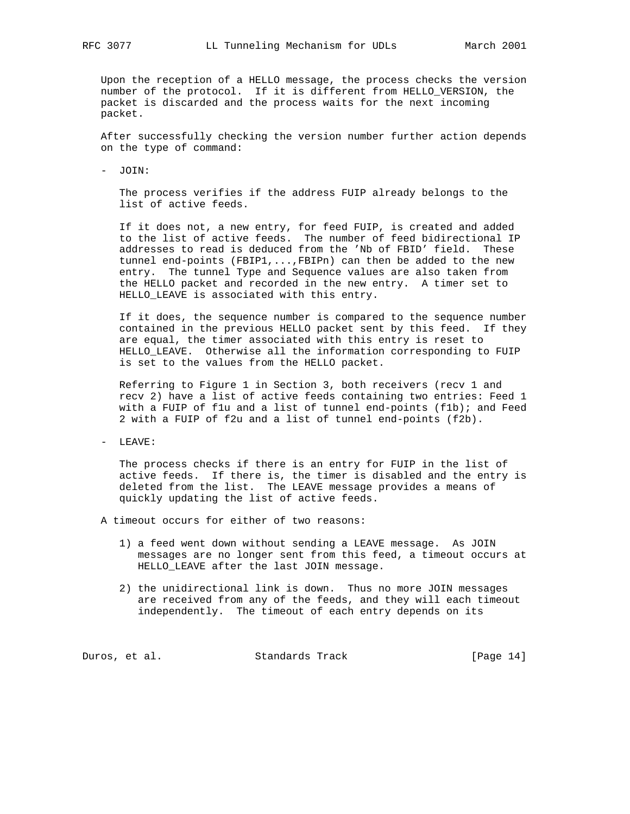Upon the reception of a HELLO message, the process checks the version number of the protocol. If it is different from HELLO\_VERSION, the packet is discarded and the process waits for the next incoming packet.

 After successfully checking the version number further action depends on the type of command:

- JOIN:

 The process verifies if the address FUIP already belongs to the list of active feeds.

 If it does not, a new entry, for feed FUIP, is created and added to the list of active feeds. The number of feed bidirectional IP addresses to read is deduced from the 'Nb of FBID' field. These tunnel end-points (FBIP1,...,FBIPn) can then be added to the new entry. The tunnel Type and Sequence values are also taken from the HELLO packet and recorded in the new entry. A timer set to HELLO\_LEAVE is associated with this entry.

 If it does, the sequence number is compared to the sequence number contained in the previous HELLO packet sent by this feed. If they are equal, the timer associated with this entry is reset to HELLO\_LEAVE. Otherwise all the information corresponding to FUIP is set to the values from the HELLO packet.

 Referring to Figure 1 in Section 3, both receivers (recv 1 and recv 2) have a list of active feeds containing two entries: Feed 1 with a FUIP of flu and a list of tunnel end-points (flb); and Feed 2 with a FUIP of f2u and a list of tunnel end-points (f2b).

- LEAVE:

 The process checks if there is an entry for FUIP in the list of active feeds. If there is, the timer is disabled and the entry is deleted from the list. The LEAVE message provides a means of quickly updating the list of active feeds.

- A timeout occurs for either of two reasons:
	- 1) a feed went down without sending a LEAVE message. As JOIN messages are no longer sent from this feed, a timeout occurs at HELLO\_LEAVE after the last JOIN message.
	- 2) the unidirectional link is down. Thus no more JOIN messages are received from any of the feeds, and they will each timeout independently. The timeout of each entry depends on its

Duros, et al. Standards Track [Page 14]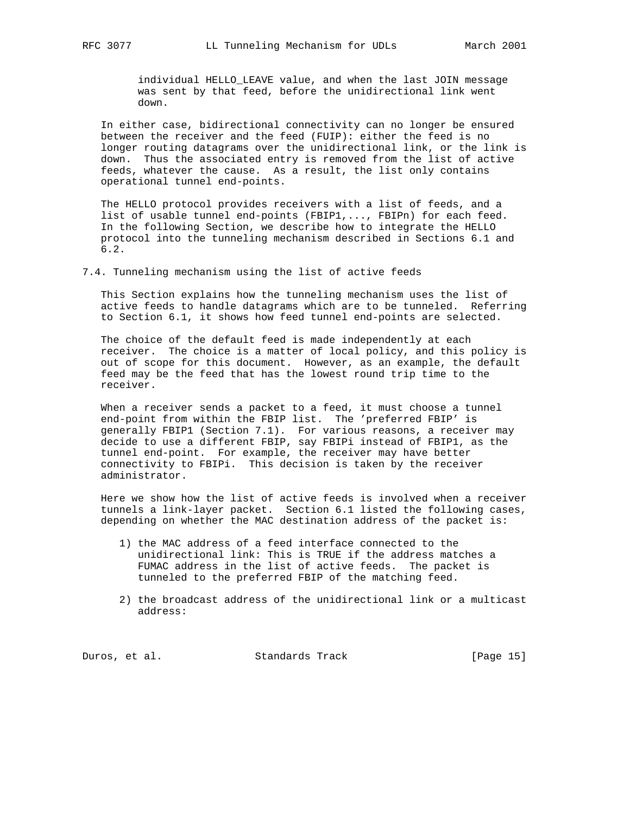individual HELLO\_LEAVE value, and when the last JOIN message was sent by that feed, before the unidirectional link went down.

 In either case, bidirectional connectivity can no longer be ensured between the receiver and the feed (FUIP): either the feed is no longer routing datagrams over the unidirectional link, or the link is down. Thus the associated entry is removed from the list of active feeds, whatever the cause. As a result, the list only contains operational tunnel end-points.

 The HELLO protocol provides receivers with a list of feeds, and a list of usable tunnel end-points (FBIP1,..., FBIPn) for each feed. In the following Section, we describe how to integrate the HELLO protocol into the tunneling mechanism described in Sections 6.1 and 6.2.

7.4. Tunneling mechanism using the list of active feeds

 This Section explains how the tunneling mechanism uses the list of active feeds to handle datagrams which are to be tunneled. Referring to Section 6.1, it shows how feed tunnel end-points are selected.

 The choice of the default feed is made independently at each receiver. The choice is a matter of local policy, and this policy is out of scope for this document. However, as an example, the default feed may be the feed that has the lowest round trip time to the receiver.

When a receiver sends a packet to a feed, it must choose a tunnel end-point from within the FBIP list. The 'preferred FBIP' is generally FBIP1 (Section 7.1). For various reasons, a receiver may decide to use a different FBIP, say FBIPi instead of FBIP1, as the tunnel end-point. For example, the receiver may have better connectivity to FBIPi. This decision is taken by the receiver administrator.

 Here we show how the list of active feeds is involved when a receiver tunnels a link-layer packet. Section 6.1 listed the following cases, depending on whether the MAC destination address of the packet is:

- 1) the MAC address of a feed interface connected to the unidirectional link: This is TRUE if the address matches a FUMAC address in the list of active feeds. The packet is tunneled to the preferred FBIP of the matching feed.
- 2) the broadcast address of the unidirectional link or a multicast address:

Duros, et al. Standards Track [Page 15]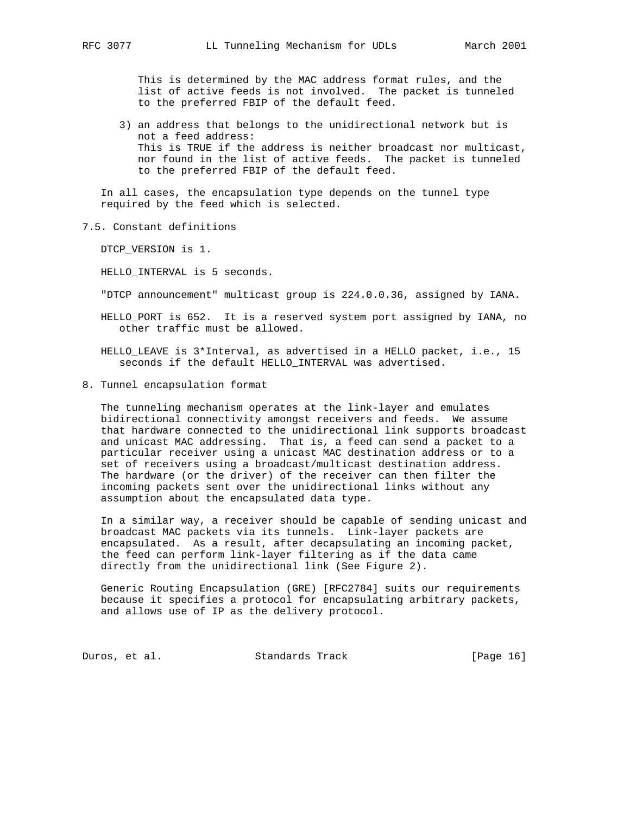This is determined by the MAC address format rules, and the list of active feeds is not involved. The packet is tunneled to the preferred FBIP of the default feed.

 3) an address that belongs to the unidirectional network but is not a feed address: This is TRUE if the address is neither broadcast nor multicast, nor found in the list of active feeds. The packet is tunneled to the preferred FBIP of the default feed.

 In all cases, the encapsulation type depends on the tunnel type required by the feed which is selected.

7.5. Constant definitions

DTCP VERSION is 1.

HELLO\_INTERVAL is 5 seconds.

"DTCP announcement" multicast group is 224.0.0.36, assigned by IANA.

 HELLO\_PORT is 652. It is a reserved system port assigned by IANA, no other traffic must be allowed.

 HELLO\_LEAVE is 3\*Interval, as advertised in a HELLO packet, i.e., 15 seconds if the default HELLO\_INTERVAL was advertised.

8. Tunnel encapsulation format

 The tunneling mechanism operates at the link-layer and emulates bidirectional connectivity amongst receivers and feeds. We assume that hardware connected to the unidirectional link supports broadcast and unicast MAC addressing. That is, a feed can send a packet to a particular receiver using a unicast MAC destination address or to a set of receivers using a broadcast/multicast destination address. The hardware (or the driver) of the receiver can then filter the incoming packets sent over the unidirectional links without any assumption about the encapsulated data type.

 In a similar way, a receiver should be capable of sending unicast and broadcast MAC packets via its tunnels. Link-layer packets are encapsulated. As a result, after decapsulating an incoming packet, the feed can perform link-layer filtering as if the data came directly from the unidirectional link (See Figure 2).

 Generic Routing Encapsulation (GRE) [RFC2784] suits our requirements because it specifies a protocol for encapsulating arbitrary packets, and allows use of IP as the delivery protocol.

Duros, et al. Standards Track [Page 16]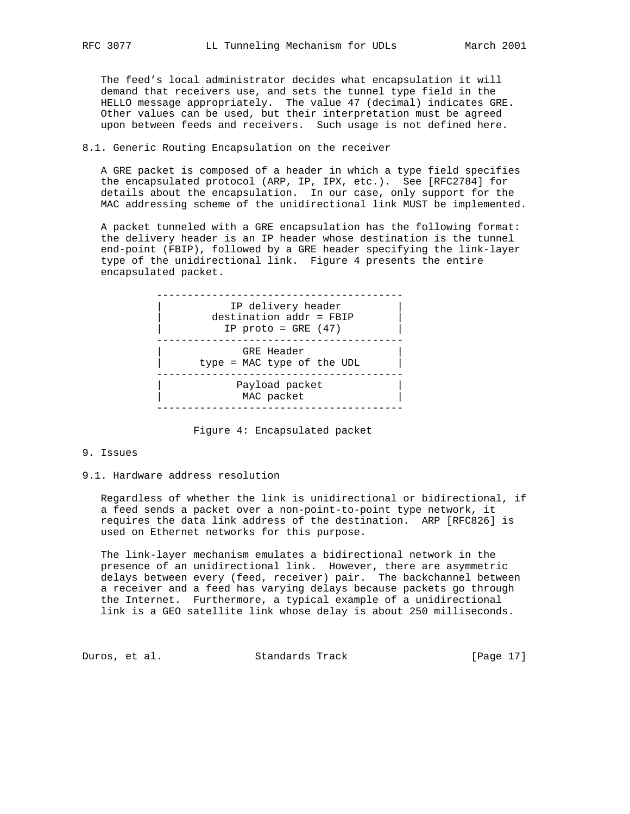The feed's local administrator decides what encapsulation it will demand that receivers use, and sets the tunnel type field in the HELLO message appropriately. The value 47 (decimal) indicates GRE. Other values can be used, but their interpretation must be agreed upon between feeds and receivers. Such usage is not defined here.

## 8.1. Generic Routing Encapsulation on the receiver

 A GRE packet is composed of a header in which a type field specifies the encapsulated protocol (ARP, IP, IPX, etc.). See [RFC2784] for details about the encapsulation. In our case, only support for the MAC addressing scheme of the unidirectional link MUST be implemented.

 A packet tunneled with a GRE encapsulation has the following format: the delivery header is an IP header whose destination is the tunnel end-point (FBIP), followed by a GRE header specifying the link-layer type of the unidirectional link. Figure 4 presents the entire encapsulated packet.



Figure 4: Encapsulated packet

## 9. Issues

#### 9.1. Hardware address resolution

 Regardless of whether the link is unidirectional or bidirectional, if a feed sends a packet over a non-point-to-point type network, it requires the data link address of the destination. ARP [RFC826] is used on Ethernet networks for this purpose.

 The link-layer mechanism emulates a bidirectional network in the presence of an unidirectional link. However, there are asymmetric delays between every (feed, receiver) pair. The backchannel between a receiver and a feed has varying delays because packets go through the Internet. Furthermore, a typical example of a unidirectional link is a GEO satellite link whose delay is about 250 milliseconds.

Duros, et al. Standards Track [Page 17]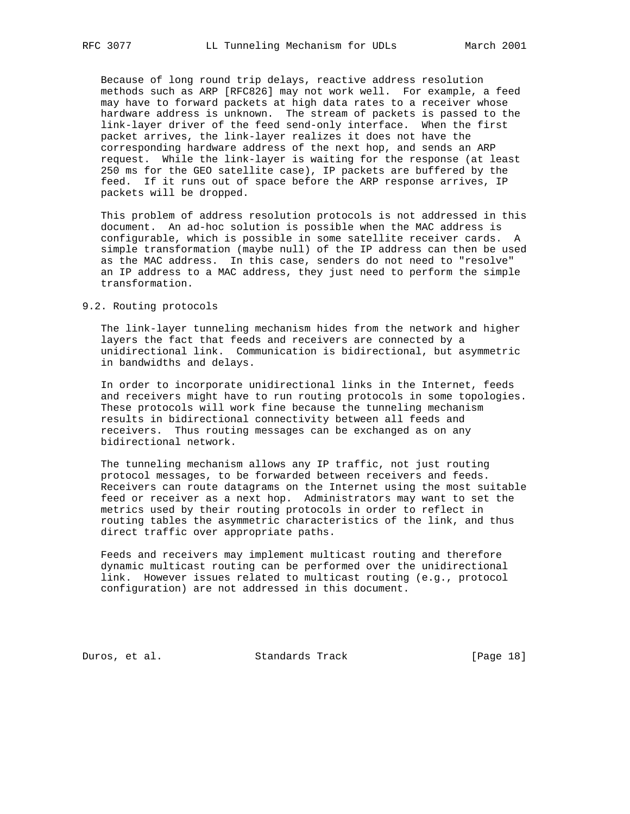Because of long round trip delays, reactive address resolution methods such as ARP [RFC826] may not work well. For example, a feed may have to forward packets at high data rates to a receiver whose hardware address is unknown. The stream of packets is passed to the link-layer driver of the feed send-only interface. When the first packet arrives, the link-layer realizes it does not have the corresponding hardware address of the next hop, and sends an ARP request. While the link-layer is waiting for the response (at least 250 ms for the GEO satellite case), IP packets are buffered by the feed. If it runs out of space before the ARP response arrives, IP packets will be dropped.

 This problem of address resolution protocols is not addressed in this document. An ad-hoc solution is possible when the MAC address is configurable, which is possible in some satellite receiver cards. A simple transformation (maybe null) of the IP address can then be used as the MAC address. In this case, senders do not need to "resolve" an IP address to a MAC address, they just need to perform the simple transformation.

#### 9.2. Routing protocols

 The link-layer tunneling mechanism hides from the network and higher layers the fact that feeds and receivers are connected by a unidirectional link. Communication is bidirectional, but asymmetric in bandwidths and delays.

 In order to incorporate unidirectional links in the Internet, feeds and receivers might have to run routing protocols in some topologies. These protocols will work fine because the tunneling mechanism results in bidirectional connectivity between all feeds and receivers. Thus routing messages can be exchanged as on any bidirectional network.

 The tunneling mechanism allows any IP traffic, not just routing protocol messages, to be forwarded between receivers and feeds. Receivers can route datagrams on the Internet using the most suitable feed or receiver as a next hop. Administrators may want to set the metrics used by their routing protocols in order to reflect in routing tables the asymmetric characteristics of the link, and thus direct traffic over appropriate paths.

 Feeds and receivers may implement multicast routing and therefore dynamic multicast routing can be performed over the unidirectional link. However issues related to multicast routing (e.g., protocol configuration) are not addressed in this document.

Duros, et al. Standards Track [Page 18]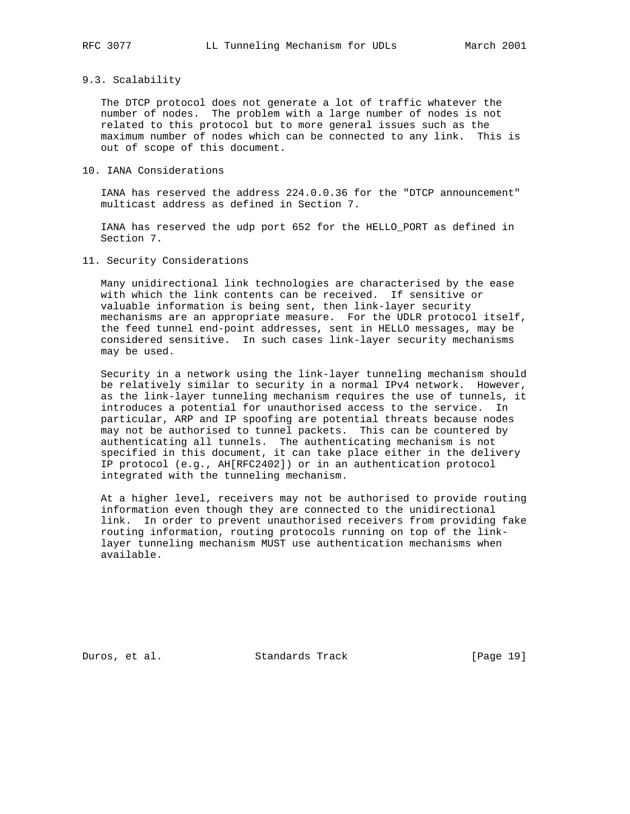#### 9.3. Scalability

 The DTCP protocol does not generate a lot of traffic whatever the number of nodes. The problem with a large number of nodes is not related to this protocol but to more general issues such as the maximum number of nodes which can be connected to any link. This is out of scope of this document.

## 10. IANA Considerations

 IANA has reserved the address 224.0.0.36 for the "DTCP announcement" multicast address as defined in Section 7.

 IANA has reserved the udp port 652 for the HELLO\_PORT as defined in Section 7.

## 11. Security Considerations

 Many unidirectional link technologies are characterised by the ease with which the link contents can be received. If sensitive or valuable information is being sent, then link-layer security mechanisms are an appropriate measure. For the UDLR protocol itself, the feed tunnel end-point addresses, sent in HELLO messages, may be considered sensitive. In such cases link-layer security mechanisms may be used.

 Security in a network using the link-layer tunneling mechanism should be relatively similar to security in a normal IPv4 network. However, as the link-layer tunneling mechanism requires the use of tunnels, it introduces a potential for unauthorised access to the service. In particular, ARP and IP spoofing are potential threats because nodes may not be authorised to tunnel packets. This can be countered by authenticating all tunnels. The authenticating mechanism is not specified in this document, it can take place either in the delivery IP protocol (e.g., AH[RFC2402]) or in an authentication protocol integrated with the tunneling mechanism.

 At a higher level, receivers may not be authorised to provide routing information even though they are connected to the unidirectional link. In order to prevent unauthorised receivers from providing fake routing information, routing protocols running on top of the link layer tunneling mechanism MUST use authentication mechanisms when available.

Duros, et al. Standards Track [Page 19]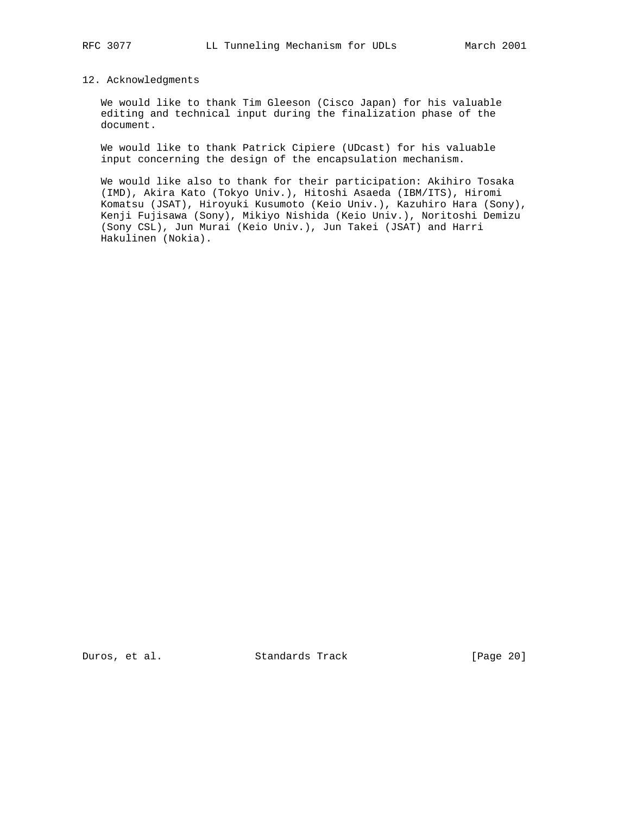### 12. Acknowledgments

 We would like to thank Tim Gleeson (Cisco Japan) for his valuable editing and technical input during the finalization phase of the document.

 We would like to thank Patrick Cipiere (UDcast) for his valuable input concerning the design of the encapsulation mechanism.

 We would like also to thank for their participation: Akihiro Tosaka (IMD), Akira Kato (Tokyo Univ.), Hitoshi Asaeda (IBM/ITS), Hiromi Komatsu (JSAT), Hiroyuki Kusumoto (Keio Univ.), Kazuhiro Hara (Sony), Kenji Fujisawa (Sony), Mikiyo Nishida (Keio Univ.), Noritoshi Demizu (Sony CSL), Jun Murai (Keio Univ.), Jun Takei (JSAT) and Harri Hakulinen (Nokia).

Duros, et al. Standards Track [Page 20]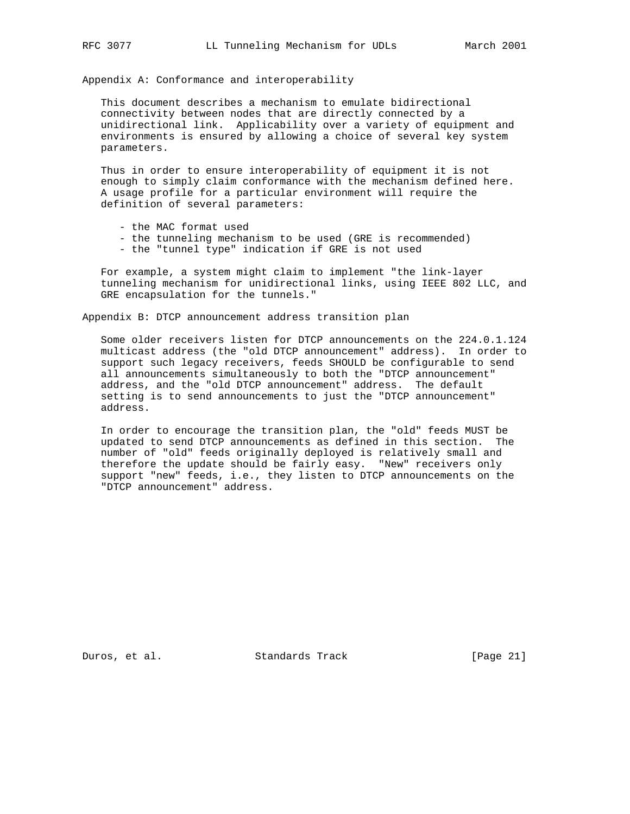Appendix A: Conformance and interoperability

 This document describes a mechanism to emulate bidirectional connectivity between nodes that are directly connected by a unidirectional link. Applicability over a variety of equipment and environments is ensured by allowing a choice of several key system parameters.

 Thus in order to ensure interoperability of equipment it is not enough to simply claim conformance with the mechanism defined here. A usage profile for a particular environment will require the definition of several parameters:

- the MAC format used
- the tunneling mechanism to be used (GRE is recommended)
- the "tunnel type" indication if GRE is not used

 For example, a system might claim to implement "the link-layer tunneling mechanism for unidirectional links, using IEEE 802 LLC, and GRE encapsulation for the tunnels."

Appendix B: DTCP announcement address transition plan

 Some older receivers listen for DTCP announcements on the 224.0.1.124 multicast address (the "old DTCP announcement" address). In order to support such legacy receivers, feeds SHOULD be configurable to send all announcements simultaneously to both the "DTCP announcement" address, and the "old DTCP announcement" address. The default setting is to send announcements to just the "DTCP announcement" address.

 In order to encourage the transition plan, the "old" feeds MUST be updated to send DTCP announcements as defined in this section. The number of "old" feeds originally deployed is relatively small and therefore the update should be fairly easy. "New" receivers only support "new" feeds, i.e., they listen to DTCP announcements on the "DTCP announcement" address.

Duros, et al. Standards Track [Page 21]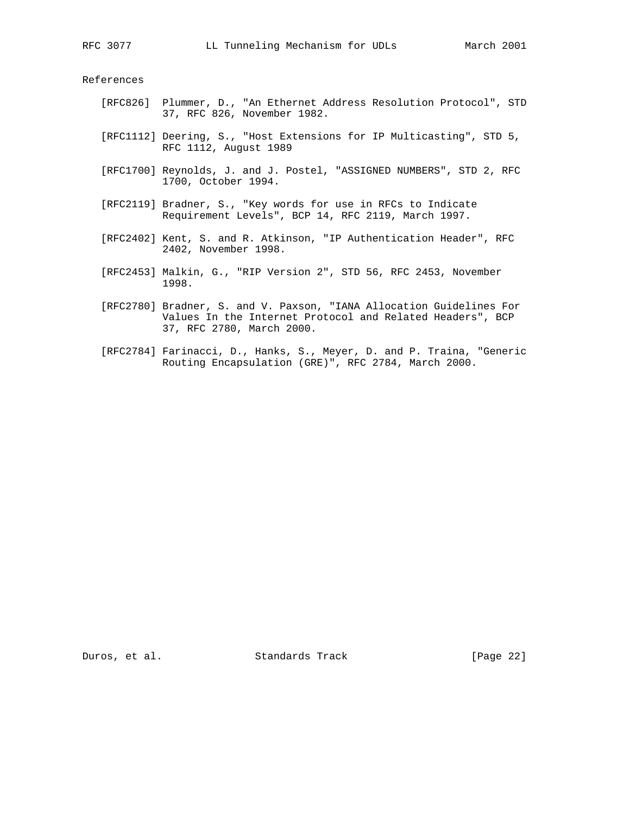References

- [RFC826] Plummer, D., "An Ethernet Address Resolution Protocol", STD 37, RFC 826, November 1982.
- [RFC1112] Deering, S., "Host Extensions for IP Multicasting", STD 5, RFC 1112, August 1989
- [RFC1700] Reynolds, J. and J. Postel, "ASSIGNED NUMBERS", STD 2, RFC 1700, October 1994.
- [RFC2119] Bradner, S., "Key words for use in RFCs to Indicate Requirement Levels", BCP 14, RFC 2119, March 1997.
- [RFC2402] Kent, S. and R. Atkinson, "IP Authentication Header", RFC 2402, November 1998.
- [RFC2453] Malkin, G., "RIP Version 2", STD 56, RFC 2453, November 1998.
- [RFC2780] Bradner, S. and V. Paxson, "IANA Allocation Guidelines For Values In the Internet Protocol and Related Headers", BCP 37, RFC 2780, March 2000.
- [RFC2784] Farinacci, D., Hanks, S., Meyer, D. and P. Traina, "Generic Routing Encapsulation (GRE)", RFC 2784, March 2000.

Duros, et al. Standards Track [Page 22]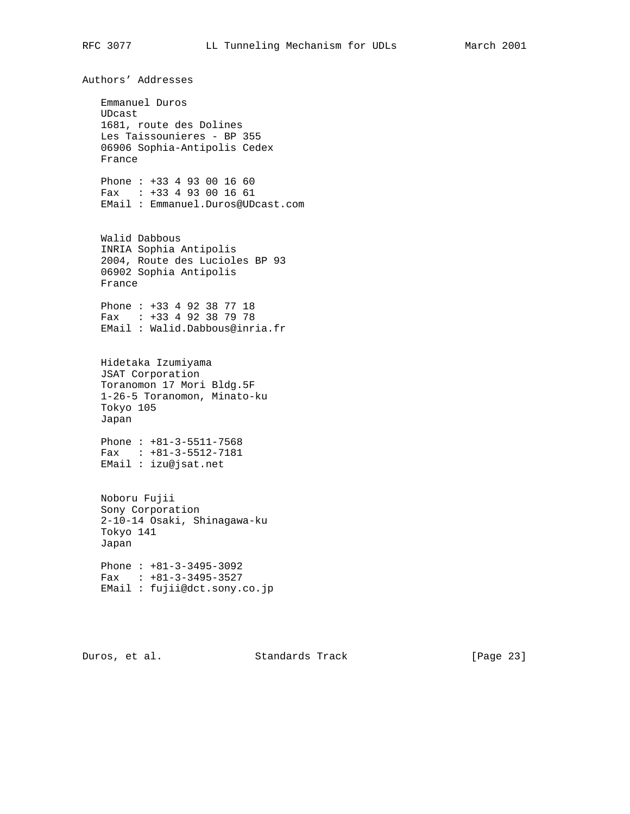Authors' Addresses Emmanuel Duros UDcast 1681, route des Dolines Les Taissounieres - BP 355 06906 Sophia-Antipolis Cedex France Phone : +33 4 93 00 16 60 Fax : +33 4 93 00 16 61 EMail : Emmanuel.Duros@UDcast.com Walid Dabbous INRIA Sophia Antipolis 2004, Route des Lucioles BP 93 06902 Sophia Antipolis France Phone : +33 4 92 38 77 18 Fax : +33 4 92 38 79 78 EMail : Walid.Dabbous@inria.fr Hidetaka Izumiyama JSAT Corporation Toranomon 17 Mori Bldg.5F 1-26-5 Toranomon, Minato-ku Tokyo 105 Japan Phone : +81-3-5511-7568 Fax : +81-3-5512-7181 EMail : izu@jsat.net Noboru Fujii Sony Corporation 2-10-14 Osaki, Shinagawa-ku Tokyo 141 Japan Phone : +81-3-3495-3092 Fax : +81-3-3495-3527 EMail : fujii@dct.sony.co.jp

Duros, et al. Standards Track [Page 23]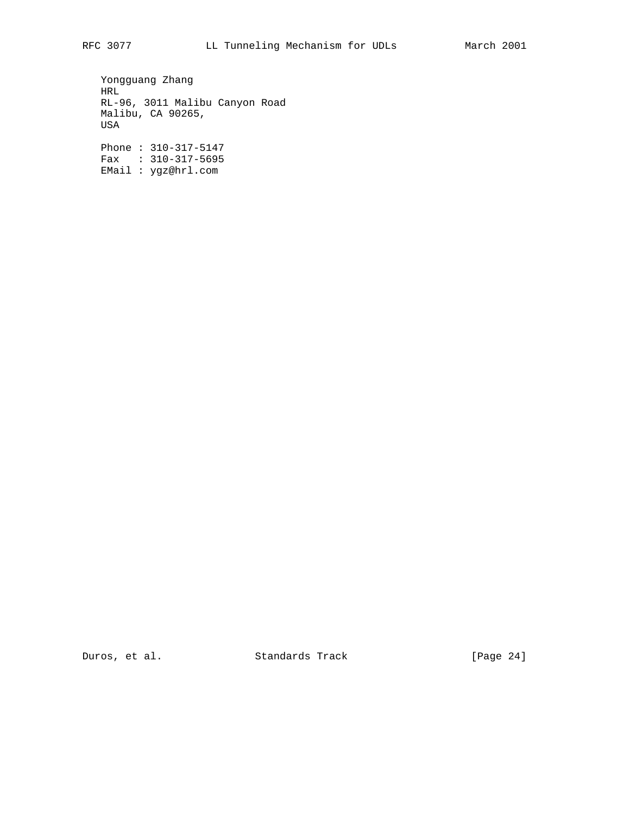Yongguang Zhang HRL RL-96, 3011 Malibu Canyon Road Malibu, CA 90265, USA Phone : 310-317-5147

 Fax : 310-317-5695 EMail : ygz@hrl.com

Duros, et al. Standards Track [Page 24]